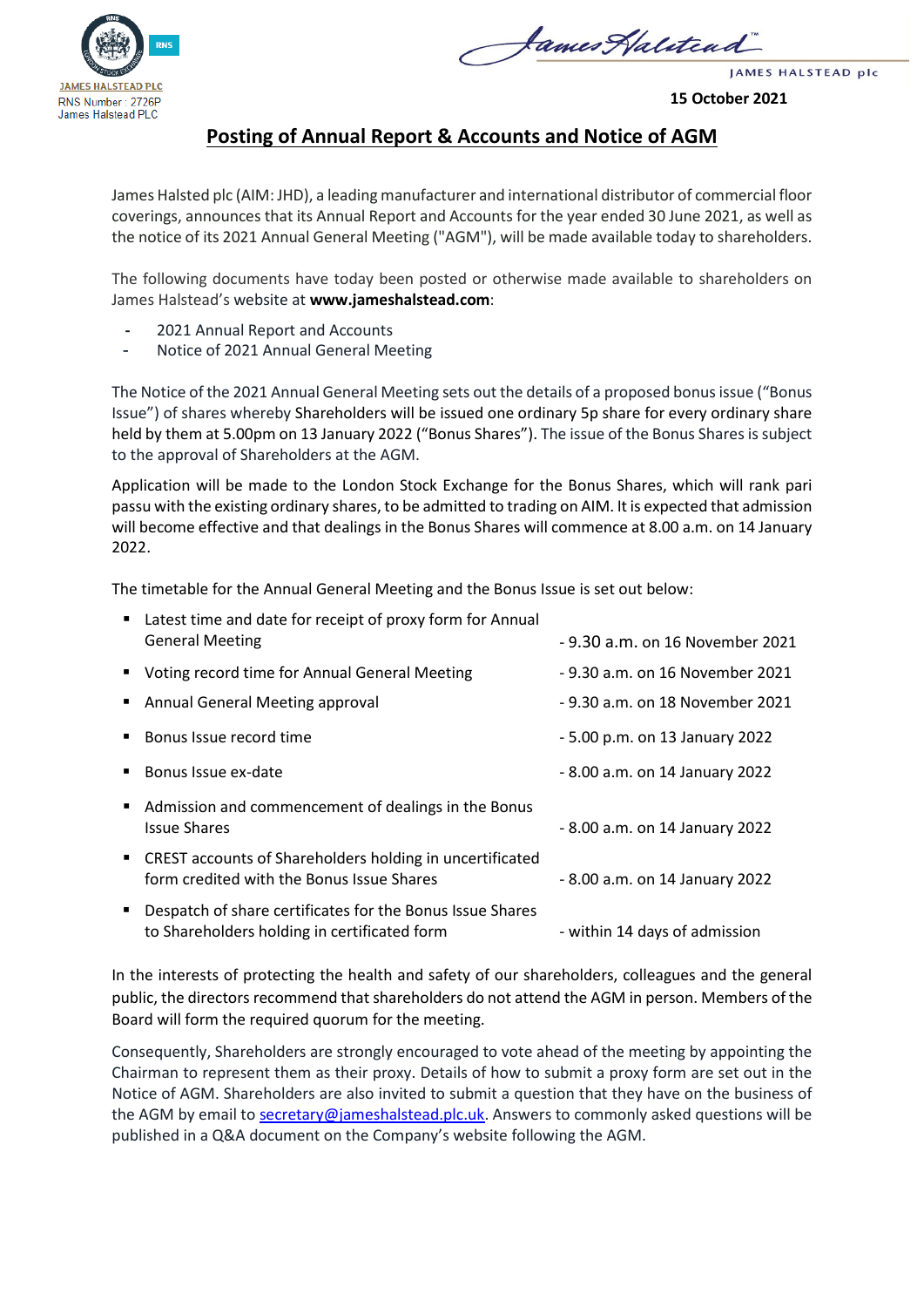



JAMES HALSTEAD plc

**15 October 2021**

## **Posting of Annual Report & Accounts and Notice of AGM**

James Halsted plc (AIM: JHD), a leading manufacturer and international distributor of commercial floor coverings, announces that its Annual Report and Accounts for the year ended 30 June 2021, as well as the notice of its 2021 Annual General Meeting ("AGM"), will be made available today to shareholders.

The following documents have today been posted or otherwise made available to shareholders on James Halstead's website at **www.jameshalstead.com**:

- **-** 2021 Annual Report and Accounts
- Notice of 2021 Annual General Meeting

The Notice of the 2021 Annual General Meeting sets out the details of a proposed bonus issue ("Bonus Issue") of shares whereby Shareholders will be issued one ordinary 5p share for every ordinary share held by them at 5.00pm on 13 January 2022 ("Bonus Shares"). The issue of the Bonus Shares is subject to the approval of Shareholders at the AGM.

Application will be made to the London Stock Exchange for the Bonus Shares, which will rank pari passu with the existing ordinary shares, to be admitted to trading on AIM. It is expected that admission will become effective and that dealings in the Bonus Shares will commence at 8.00 a.m. on 14 January 2022.

The timetable for the Annual General Meeting and the Bonus Issue is set out below:

| $\blacksquare$              | Latest time and date for receipt of proxy form for Annual<br><b>General Meeting</b>                       | - 9.30 a.m. on 16 November 2021 |
|-----------------------------|-----------------------------------------------------------------------------------------------------------|---------------------------------|
|                             | " Voting record time for Annual General Meeting                                                           | - 9.30 a.m. on 16 November 2021 |
| $\blacksquare$              | Annual General Meeting approval                                                                           | - 9.30 a.m. on 18 November 2021 |
| $\mathcal{L}_{\mathcal{A}}$ | Bonus Issue record time                                                                                   | - 5.00 p.m. on 13 January 2022  |
| $\mathbf{r}$                | Bonus Issue ex-date                                                                                       | - 8.00 a.m. on 14 January 2022  |
|                             | Admission and commencement of dealings in the Bonus<br><b>Issue Shares</b>                                | - 8.00 a.m. on 14 January 2022  |
|                             | • CREST accounts of Shareholders holding in uncertificated<br>form credited with the Bonus Issue Shares   | - 8.00 a.m. on 14 January 2022  |
|                             | Despatch of share certificates for the Bonus Issue Shares<br>to Shareholders holding in certificated form | - within 14 days of admission   |

In the interests of protecting the health and safety of our shareholders, colleagues and the general public, the directors recommend that shareholders do not attend the AGM in person. Members of the Board will form the required quorum for the meeting.

Consequently, Shareholders are strongly encouraged to vote ahead of the meeting by appointing the Chairman to represent them as their proxy. Details of how to submit a proxy form are set out in the Notice of AGM. Shareholders are also invited to submit a question that they have on the business of the AGM by email to [secretary@jameshalstead.plc.uk.](mailto:secretary@jameshalstead.plc.uk) Answers to commonly asked questions will be published in a Q&A document on the Company's website following the AGM.